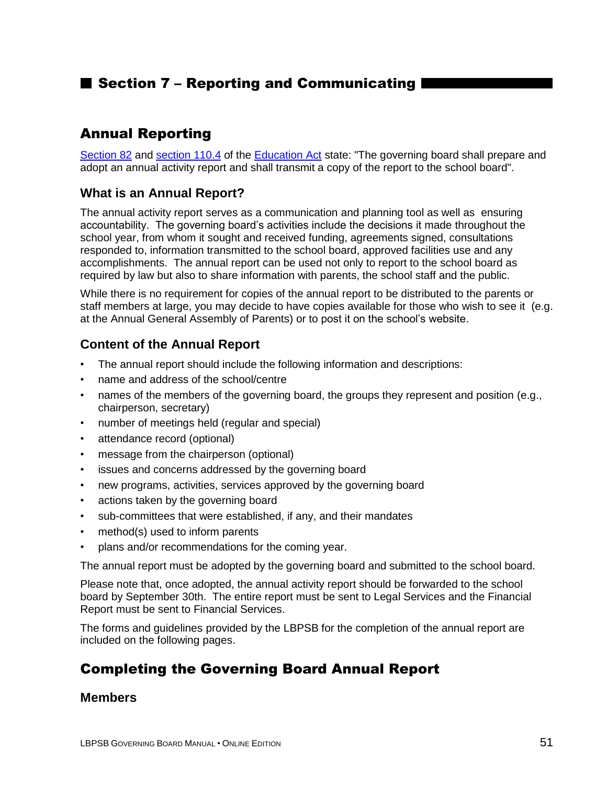# ■ Section 7 – Reporting and Communicating I

## Annual Reporting

[Section 82](http://www2.publicationsduquebec.gouv.qc.ca/dynamicSearch/telecharge.php?type=2&file=/I_13_3/I13_3_A.html#s82) and [section 110.4](http://www2.publicationsduquebec.gouv.qc.ca/dynamicSearch/telecharge.php?type=2&file=/I_13_3/I13_3_A.html#s110.4) of the [Education Act](http://www2.publicationsduquebec.gouv.qc.ca/dynamicSearch/telecharge.php?type=2&file=/I_13_3/I13_3_A.html) state: "The governing board shall prepare and adopt an annual activity report and shall transmit a copy of the report to the school board".

#### **What is an Annual Report?**

The annual activity report serves as a communication and planning tool as well as ensuring accountability. The governing board's activities include the decisions it made throughout the school year, from whom it sought and received funding, agreements signed, consultations responded to, information transmitted to the school board, approved facilities use and any accomplishments. The annual report can be used not only to report to the school board as required by law but also to share information with parents, the school staff and the public.

While there is no requirement for copies of the annual report to be distributed to the parents or staff members at large, you may decide to have copies available for those who wish to see it (e.g. at the Annual General Assembly of Parents) or to post it on the school's website.

#### **Content of the Annual Report**

- The annual report should include the following information and descriptions:
- name and address of the school/centre
- names of the members of the governing board, the groups they represent and position (e.g., chairperson, secretary)
- number of meetings held (regular and special)
- attendance record (optional)
- message from the chairperson (optional)
- issues and concerns addressed by the governing board
- new programs, activities, services approved by the governing board
- actions taken by the governing board
- sub-committees that were established, if any, and their mandates
- method(s) used to inform parents
- plans and/or recommendations for the coming year.

The annual report must be adopted by the governing board and submitted to the school board.

Please note that, once adopted, the annual activity report should be forwarded to the school board by September 30th. The entire report must be sent to Legal Services and the Financial Report must be sent to Financial Services.

The forms and guidelines provided by the LBPSB for the completion of the annual report are included on the following pages.

# Completing the Governing Board Annual Report

#### **Members**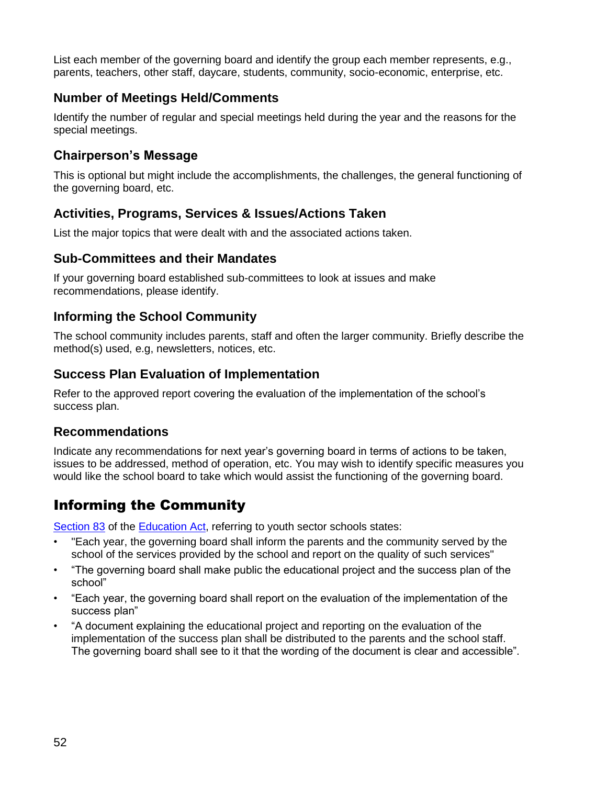List each member of the governing board and identify the group each member represents, e.g., parents, teachers, other staff, daycare, students, community, socio-economic, enterprise, etc.

### **Number of Meetings Held/Comments**

Identify the number of regular and special meetings held during the year and the reasons for the special meetings.

### **Chairperson's Message**

This is optional but might include the accomplishments, the challenges, the general functioning of the governing board, etc.

### **Activities, Programs, Services & Issues/Actions Taken**

List the major topics that were dealt with and the associated actions taken.

#### **Sub-Committees and their Mandates**

If your governing board established sub-committees to look at issues and make recommendations, please identify.

### **Informing the School Community**

The school community includes parents, staff and often the larger community. Briefly describe the method(s) used, e.g, newsletters, notices, etc.

### **Success Plan Evaluation of Implementation**

Refer to the approved report covering the evaluation of the implementation of the school's success plan.

### **Recommendations**

Indicate any recommendations for next year's governing board in terms of actions to be taken, issues to be addressed, method of operation, etc. You may wish to identify specific measures you would like the school board to take which would assist the functioning of the governing board.

# Informing the Community

[Section 83](http://www2.publicationsduquebec.gouv.qc.ca/dynamicSearch/telecharge.php?type=2&file=/I_13_3/I13_3_A.html#s83) of the [Education Act,](http://www2.publicationsduquebec.gouv.qc.ca/dynamicSearch/telecharge.php?type=2&file=/I_13_3/I13_3_A.html) referring to youth sector schools states:

- "Each year, the governing board shall inform the parents and the community served by the school of the services provided by the school and report on the quality of such services"
- "The governing board shall make public the educational project and the success plan of the school"
- "Each year, the governing board shall report on the evaluation of the implementation of the success plan"
- "A document explaining the educational project and reporting on the evaluation of the implementation of the success plan shall be distributed to the parents and the school staff. The governing board shall see to it that the wording of the document is clear and accessible".